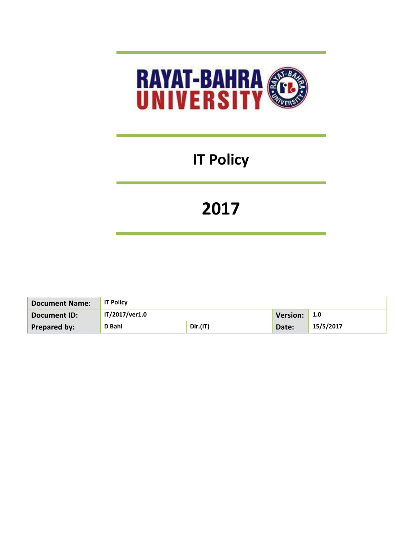

# **IT Policy**

# **2017**

| Document Name:      | <b>IT Policy</b> |          |          |           |
|---------------------|------------------|----------|----------|-----------|
| Document ID:        | IT/2017/ver1.0   |          | Version: | -1.0      |
| <b>Prepared by:</b> | D Bahl           | Dir.(IT) | Date:    | 15/5/2017 |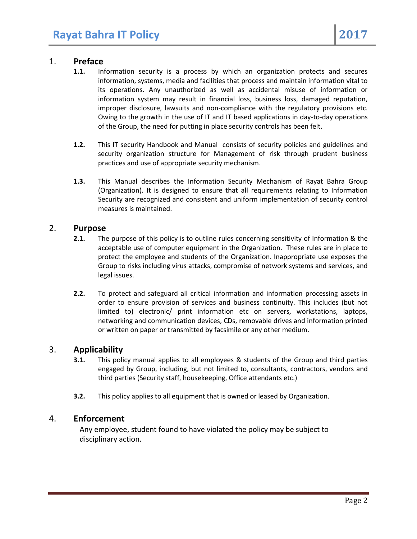# 1. **Preface**

- **1.1.** Information security is a process by which an organization protects and secures information, systems, media and facilities that process and maintain information vital to its operations. Any unauthorized as well as accidental misuse of information or information system may result in financial loss, business loss, damaged reputation, improper disclosure, lawsuits and non-compliance with the regulatory provisions etc. Owing to the growth in the use of IT and IT based applications in day-to-day operations of the Group, the need for putting in place security controls has been felt.
- **1.2.** This IT security Handbook and Manual consists of security policies and guidelines and security organization structure for Management of risk through prudent business practices and use of appropriate security mechanism.
- **1.3.** This Manual describes the Information Security Mechanism of Rayat Bahra Group (Organization). It is designed to ensure that all requirements relating to Information Security are recognized and consistent and uniform implementation of security control measures is maintained.

#### 2. **Purpose**

- **2.1.** The purpose of this policy is to outline rules concerning sensitivity of Information & the acceptable use of computer equipment in the Organization. These rules are in place to protect the employee and students of the Organization. Inappropriate use exposes the Group to risks including virus attacks, compromise of network systems and services, and legal issues.
- **2.2.** To protect and safeguard all critical information and information processing assets in order to ensure provision of services and business continuity. This includes (but not limited to) electronic/ print information etc on servers, workstations, laptops, networking and communication devices, CDs, removable drives and information printed or written on paper or transmitted by facsimile or any other medium.

### 3. **Applicability**

- **3.1.** This policy manual applies to all employees & students of the Group and third parties engaged by Group, including, but not limited to, consultants, contractors, vendors and third parties (Security staff, housekeeping, Office attendants etc.)
- **3.2.** This policy applies to all equipment that is owned or leased by Organization.

### 4. **Enforcement**

Any employee, student found to have violated the policy may be subject to disciplinary action.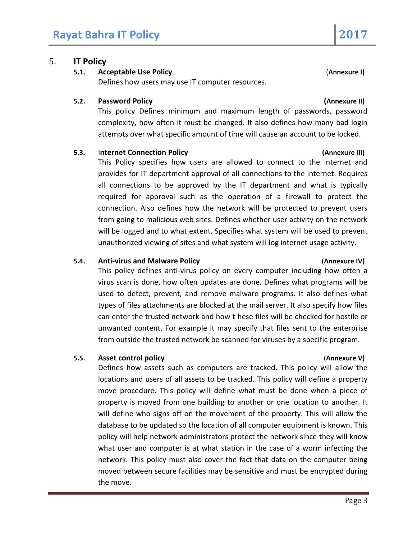# 5. **IT Policy**

## **5.1. Acceptable Use Policy** (**Annexure I)**

Defines how users may use IT computer resources.

### **5.2. Password Policy (Annexure II)**

This policy Defines minimum and maximum length of passwords, password complexity, how often it must be changed. It also defines how many bad login attempts over what specific amount of time will cause an account to be locked.

### **5.3.** I**nternet Connection Policy (Annexure III)**

This Policy specifies how users are allowed to connect to the internet and provides for IT department approval of all connections to the internet. Requires all connections to be approved by the IT department and what is typically required for approval such as the operation of a firewall to protect the connection. Also defines how the network will be protected to prevent users from going to malicious web sites. Defines whether user activity on the network will be logged and to what extent. Specifies what system will be used to prevent unauthorized viewing of sites and what system will log internet usage activity.

### **5.4. Anti-virus and Malware Policy** (**Annexure IV)**

This policy defines anti-virus policy on every computer including how often a virus scan is done, how often updates are done. Defines what programs will be used to detect, prevent, and remove malware programs. It also defines what types of files attachments are blocked at the mail server. It also specify how files can enter the trusted network and how t hese files will be checked for hostile or unwanted content. For example it may specify that files sent to the enterprise from outside the trusted network be scanned for viruses by a specific program.

# **5.5. Asset control policy** (**Annexure V)**

Defines how assets such as computers are tracked. This policy will allow the locations and users of all assets to be tracked. This policy will define a property move procedure. This policy will define what must be done when a piece of property is moved from one building to another or one location to another. It will define who signs off on the movement of the property. This will allow the database to be updated so the location of all computer equipment is known. This policy will help network administrators protect the network since they will know what user and computer is at what station in the case of a worm infecting the network. This policy must also cover the fact that data on the computer being moved between secure facilities may be sensitive and must be encrypted during the move.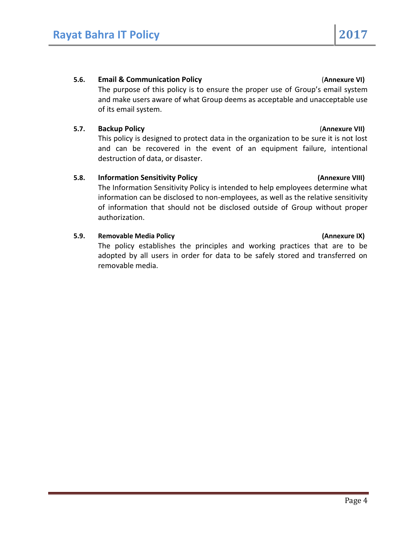### **5.6. Email & Communication Policy** (**Annexure VI)**

The purpose of this policy is to ensure the proper use of Group's email system and make users aware of what Group deems as acceptable and unacceptable use of its email system.

### **5.7. Backup Policy** (**Annexure VII)**

This policy is designed to protect data in the organization to be sure it is not lost and can be recovered in the event of an equipment failure, intentional destruction of data, or disaster.

### **5.8. Information Sensitivity Policy (Annexure VIII)**

The Information Sensitivity Policy is intended to help employees determine what information can be disclosed to non-employees, as well as the relative sensitivity of information that should not be disclosed outside of Group without proper authorization.

### **5.9. Removable Media Policy (Annexure IX)**

The policy establishes the principles and working practices that are to be adopted by all users in order for data to be safely stored and transferred on removable media.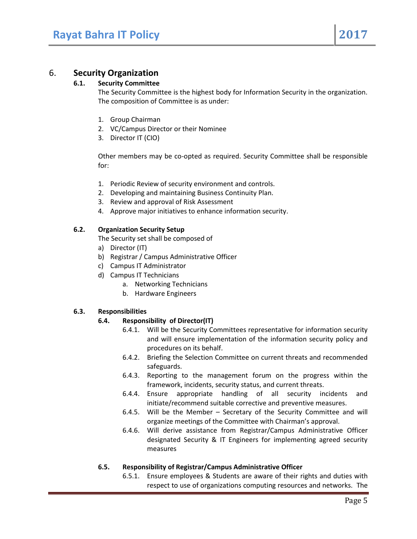# 6. **Security Organization**

#### **6.1. Security Committee**

The Security Committee is the highest body for Information Security in the organization. The composition of Committee is as under:

- 1. Group Chairman
- 2. VC/Campus Director or their Nominee
- 3. Director IT (CIO)

Other members may be co-opted as required. Security Committee shall be responsible for:

- 1. Periodic Review of security environment and controls.
- 2. Developing and maintaining Business Continuity Plan.
- 3. Review and approval of Risk Assessment
- 4. Approve major initiatives to enhance information security.

#### **6.2. Organization Security Setup**

The Security set shall be composed of

- a) Director (IT)
- b) Registrar / Campus Administrative Officer
- c) Campus IT Administrator
- d) Campus IT Technicians
	- a. Networking Technicians
	- b. Hardware Engineers

#### **6.3. Responsibilities**

#### **6.4. Responsibility of Director(IT)**

- 6.4.1. Will be the Security Committees representative for information security and will ensure implementation of the information security policy and procedures on its behalf.
- 6.4.2. Briefing the Selection Committee on current threats and recommended safeguards.
- 6.4.3. Reporting to the management forum on the progress within the framework, incidents, security status, and current threats.
- 6.4.4. Ensure appropriate handling of all security incidents and initiate/recommend suitable corrective and preventive measures.
- 6.4.5. Will be the Member Secretary of the Security Committee and will organize meetings of the Committee with Chairman's approval.
- 6.4.6. Will derive assistance from Registrar/Campus Administrative Officer designated Security & IT Engineers for implementing agreed security measures

#### **6.5. Responsibility of Registrar/Campus Administrative Officer**

6.5.1. Ensure employees & Students are aware of their rights and duties with respect to use of organizations computing resources and networks. The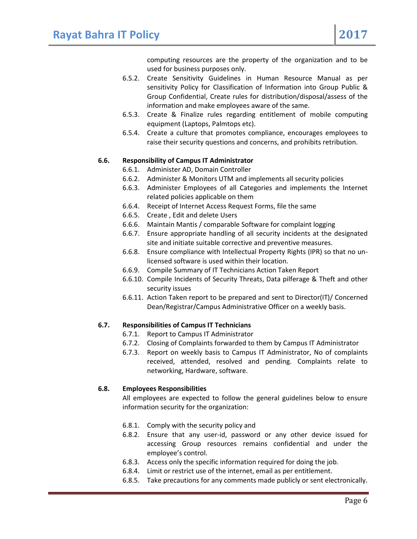computing resources are the property of the organization and to be used for business purposes only.

- 6.5.2. Create Sensitivity Guidelines in Human Resource Manual as per sensitivity Policy for Classification of Information into Group Public & Group Confidential, Create rules for distribution/disposal/assess of the information and make employees aware of the same.
- 6.5.3. Create & Finalize rules regarding entitlement of mobile computing equipment (Laptops, Palmtops etc).
- 6.5.4. Create a culture that promotes compliance, encourages employees to raise their security questions and concerns, and prohibits retribution.

#### **6.6. Responsibility of Campus IT Administrator**

- 6.6.1. Administer AD, Domain Controller
- 6.6.2. Administer & Monitors UTM and implements all security policies
- 6.6.3. Administer Employees of all Categories and implements the Internet related policies applicable on them
- 6.6.4. Receipt of Internet Access Request Forms, file the same
- 6.6.5. Create , Edit and delete Users
- 6.6.6. Maintain Mantis / comparable Software for complaint logging
- 6.6.7. Ensure appropriate handling of all security incidents at the designated site and initiate suitable corrective and preventive measures.
- 6.6.8. Ensure compliance with Intellectual Property Rights (IPR) so that no unlicensed software is used within their location.
- 6.6.9. Compile Summary of IT Technicians Action Taken Report
- 6.6.10. Compile Incidents of Security Threats, Data pilferage & Theft and other security issues
- 6.6.11. Action Taken report to be prepared and sent to Director(IT)/ Concerned Dean/Registrar/Campus Administrative Officer on a weekly basis.

#### **6.7. Responsibilities of Campus IT Technicians**

- 6.7.1. Report to Campus IT Administrator
- 6.7.2. Closing of Complaints forwarded to them by Campus IT Administrator
- 6.7.3. Report on weekly basis to Campus IT Administrator, No of complaints received, attended, resolved and pending. Complaints relate to networking, Hardware, software.

#### **6.8. Employees Responsibilities**

All employees are expected to follow the general guidelines below to ensure information security for the organization:

- 6.8.1. Comply with the security policy and
- 6.8.2. Ensure that any user-id, password or any other device issued for accessing Group resources remains confidential and under the employee's control.
- 6.8.3. Access only the specific information required for doing the job.
- 6.8.4. Limit or restrict use of the internet, email as per entitlement.
- 6.8.5. Take precautions for any comments made publicly or sent electronically.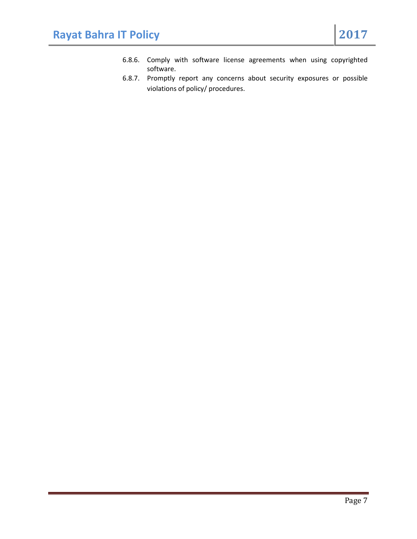- 6.8.6. Comply with software license agreements when using copyrighted software.
- 6.8.7. Promptly report any concerns about security exposures or possible violations of policy/ procedures.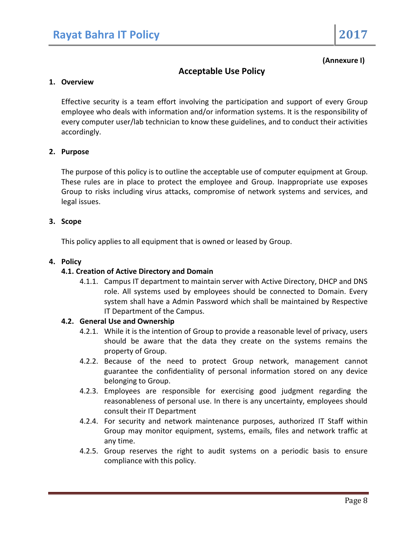**(Annexure I)**

# **Acceptable Use Policy**

### **1. Overview**

Effective security is a team effort involving the participation and support of every Group employee who deals with information and/or information systems. It is the responsibility of every computer user/lab technician to know these guidelines, and to conduct their activities accordingly.

### **2. Purpose**

The purpose of this policy is to outline the acceptable use of computer equipment at Group. These rules are in place to protect the employee and Group. Inappropriate use exposes Group to risks including virus attacks, compromise of network systems and services, and legal issues.

#### **3. Scope**

This policy applies to all equipment that is owned or leased by Group.

#### **4. Policy**

#### **4.1. Creation of Active Directory and Domain**

4.1.1. Campus IT department to maintain server with Active Directory, DHCP and DNS role. All systems used by employees should be connected to Domain. Every system shall have a Admin Password which shall be maintained by Respective IT Department of the Campus.

#### **4.2. General Use and Ownership**

- 4.2.1. While it is the intention of Group to provide a reasonable level of privacy, users should be aware that the data they create on the systems remains the property of Group.
- 4.2.2. Because of the need to protect Group network, management cannot guarantee the confidentiality of personal information stored on any device belonging to Group.
- 4.2.3. Employees are responsible for exercising good judgment regarding the reasonableness of personal use. In there is any uncertainty, employees should consult their IT Department
- 4.2.4. For security and network maintenance purposes, authorized IT Staff within Group may monitor equipment, systems, emails, files and network traffic at any time.
- 4.2.5. Group reserves the right to audit systems on a periodic basis to ensure compliance with this policy.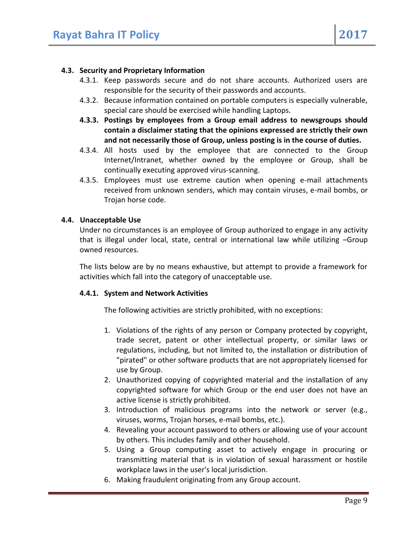### **4.3. Security and Proprietary Information**

- 4.3.1. Keep passwords secure and do not share accounts. Authorized users are responsible for the security of their passwords and accounts.
- 4.3.2. Because information contained on portable computers is especially vulnerable, special care should be exercised while handling Laptops.
- **4.3.3. Postings by employees from a Group email address to newsgroups should contain a disclaimer stating that the opinions expressed are strictly their own and not necessarily those of Group, unless posting is in the course of duties.**
- 4.3.4. All hosts used by the employee that are connected to the Group Internet/Intranet, whether owned by the employee or Group, shall be continually executing approved virus-scanning.
- 4.3.5. Employees must use extreme caution when opening e-mail attachments received from unknown senders, which may contain viruses, e-mail bombs, or Trojan horse code.

### **4.4. Unacceptable Use**

Under no circumstances is an employee of Group authorized to engage in any activity that is illegal under local, state, central or international law while utilizing –Group owned resources.

The lists below are by no means exhaustive, but attempt to provide a framework for activities which fall into the category of unacceptable use.

### **4.4.1. System and Network Activities**

The following activities are strictly prohibited, with no exceptions:

- 1. Violations of the rights of any person or Company protected by copyright, trade secret, patent or other intellectual property, or similar laws or regulations, including, but not limited to, the installation or distribution of "pirated" or other software products that are not appropriately licensed for use by Group.
- 2. Unauthorized copying of copyrighted material and the installation of any copyrighted software for which Group or the end user does not have an active license is strictly prohibited.
- 3. Introduction of malicious programs into the network or server (e.g., viruses, worms, Trojan horses, e-mail bombs, etc.).
- 4. Revealing your account password to others or allowing use of your account by others. This includes family and other household.
- 5. Using a Group computing asset to actively engage in procuring or transmitting material that is in violation of sexual harassment or hostile workplace laws in the user's local jurisdiction.
- 6. Making fraudulent originating from any Group account.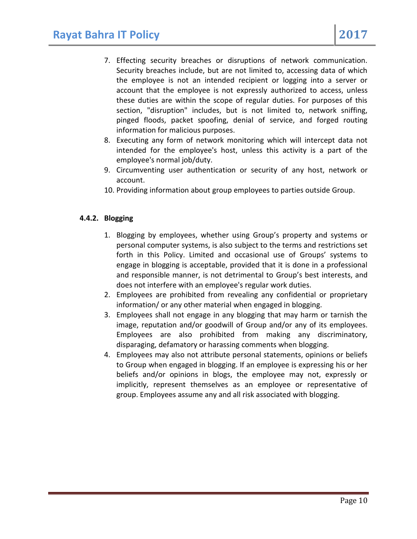- 7. Effecting security breaches or disruptions of network communication. Security breaches include, but are not limited to, accessing data of which the employee is not an intended recipient or logging into a server or account that the employee is not expressly authorized to access, unless these duties are within the scope of regular duties. For purposes of this section, "disruption" includes, but is not limited to, network sniffing, pinged floods, packet spoofing, denial of service, and forged routing information for malicious purposes.
- 8. Executing any form of network monitoring which will intercept data not intended for the employee's host, unless this activity is a part of the employee's normal job/duty.
- 9. Circumventing user authentication or security of any host, network or account.
- 10. Providing information about group employees to parties outside Group.

### **4.4.2. Blogging**

- 1. Blogging by employees, whether using Group's property and systems or personal computer systems, is also subject to the terms and restrictions set forth in this Policy. Limited and occasional use of Groups' systems to engage in blogging is acceptable, provided that it is done in a professional and responsible manner, is not detrimental to Group's best interests, and does not interfere with an employee's regular work duties.
- 2. Employees are prohibited from revealing any confidential or proprietary information/ or any other material when engaged in blogging.
- 3. Employees shall not engage in any blogging that may harm or tarnish the image, reputation and/or goodwill of Group and/or any of its employees. Employees are also prohibited from making any discriminatory, disparaging, defamatory or harassing comments when blogging.
- 4. Employees may also not attribute personal statements, opinions or beliefs to Group when engaged in blogging. If an employee is expressing his or her beliefs and/or opinions in blogs, the employee may not, expressly or implicitly, represent themselves as an employee or representative of group. Employees assume any and all risk associated with blogging.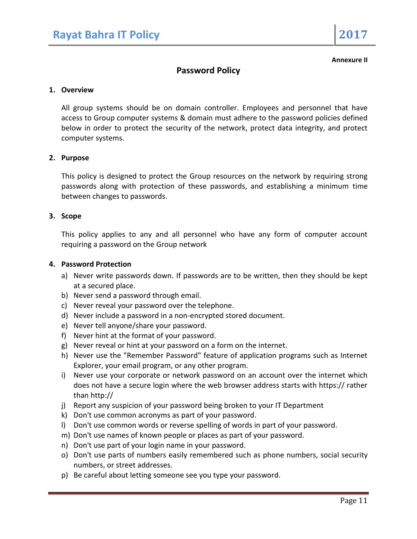**Annexure II**

# **Password Policy**

#### **1. Overview**

All group systems should be on domain controller. Employees and personnel that have access to Group computer systems & domain must adhere to the password policies defined below in order to protect the security of the network, protect data integrity, and protect computer systems.

#### **2. Purpose**

This policy is designed to protect the Group resources on the network by requiring strong passwords along with protection of these passwords, and establishing a minimum time between changes to passwords.

#### **3. Scope**

This policy applies to any and all personnel who have any form of computer account requiring a password on the Group network

#### **4. Password Protection**

- a) Never write passwords down. If passwords are to be written, then they should be kept at a secured place.
- b) Never send a password through email.
- c) Never reveal your password over the telephone.
- d) Never include a password in a non-encrypted stored document.
- e) Never tell anyone/share your password.
- f) Never hint at the format of your password.
- g) Never reveal or hint at your password on a form on the internet.
- h) Never use the "Remember Password" feature of application programs such as Internet Explorer, your email program, or any other program.
- i) Never use your corporate or network password on an account over the internet which does not have a secure login where the web browser address starts with https:// rather than http://
- j) Report any suspicion of your password being broken to your IT Department
- k) Don't use common acronyms as part of your password.
- l) Don't use common words or reverse spelling of words in part of your password.
- m) Don't use names of known people or places as part of your password.
- n) Don't use part of your login name in your password.
- o) Don't use parts of numbers easily remembered such as phone numbers, social security numbers, or street addresses.
- p) Be careful about letting someone see you type your password.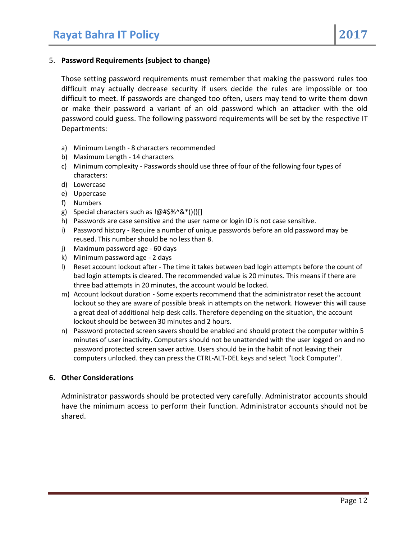#### 5. **Password Requirements (subject to change)**

Those setting password requirements must remember that making the password rules too difficult may actually decrease security if users decide the rules are impossible or too difficult to meet. If passwords are changed too often, users may tend to write them down or make their password a variant of an old password which an attacker with the old password could guess. The following password requirements will be set by the respective IT Departments:

- a) Minimum Length 8 characters recommended
- b) Maximum Length 14 characters
- c) Minimum complexity Passwords should use three of four of the following four types of characters:
- d) Lowercase
- e) Uppercase
- f) Numbers
- g) Special characters such as !@#\$%^&\*(){}[]
- h) Passwords are case sensitive and the user name or login ID is not case sensitive.
- i) Password history Require a number of unique passwords before an old password may be reused. This number should be no less than 8.
- j) Maximum password age 60 days
- k) Minimum password age 2 days
- l) Reset account lockout after The time it takes between bad login attempts before the count of bad login attempts is cleared. The recommended value is 20 minutes. This means if there are three bad attempts in 20 minutes, the account would be locked.
- m) Account lockout duration Some experts recommend that the administrator reset the account lockout so they are aware of possible break in attempts on the network. However this will cause a great deal of additional help desk calls. Therefore depending on the situation, the account lockout should be between 30 minutes and 2 hours.
- n) Password protected screen savers should be enabled and should protect the computer within 5 minutes of user inactivity. Computers should not be unattended with the user logged on and no password protected screen saver active. Users should be in the habit of not leaving their computers unlocked. they can press the CTRL-ALT-DEL keys and select "Lock Computer".

#### **6. Other Considerations**

Administrator passwords should be protected very carefully. Administrator accounts should have the minimum access to perform their function. Administrator accounts should not be shared.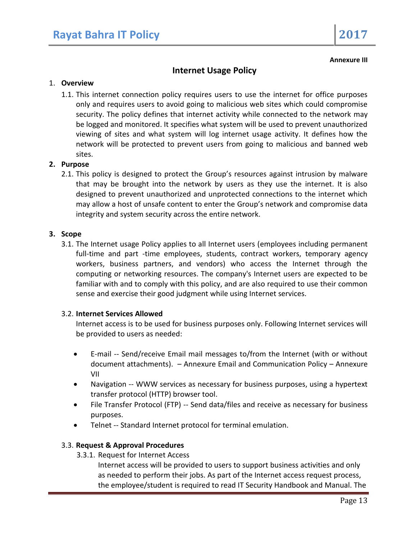**Annexure III**

# **Internet Usage Policy**

#### 1. **Overview**

1.1. This internet connection policy requires users to use the internet for office purposes only and requires users to avoid going to malicious web sites which could compromise security. The policy defines that internet activity while connected to the network may be logged and monitored. It specifies what system will be used to prevent unauthorized viewing of sites and what system will log internet usage activity. It defines how the network will be protected to prevent users from going to malicious and banned web sites.

### **2. Purpose**

2.1. This policy is designed to protect the Group's resources against intrusion by malware that may be brought into the network by users as they use the internet. It is also designed to prevent unauthorized and unprotected connections to the internet which may allow a host of unsafe content to enter the Group's network and compromise data integrity and system security across the entire network.

#### **3. Scope**

3.1. The Internet usage Policy applies to all Internet users (employees including permanent full-time and part -time employees, students, contract workers, temporary agency workers, business partners, and vendors) who access the Internet through the computing or networking resources. The company's Internet users are expected to be familiar with and to comply with this policy, and are also required to use their common sense and exercise their good judgment while using Internet services.

### 3.2. **Internet Services Allowed**

Internet access is to be used for business purposes only. Following Internet services will be provided to users as needed:

- E-mail -- Send/receive Email mail messages to/from the Internet (with or without document attachments). – Annexure Email and Communication Policy – Annexure VII
- Navigation -- WWW services as necessary for business purposes, using a hypertext transfer protocol (HTTP) browser tool.
- File Transfer Protocol (FTP) -- Send data/files and receive as necessary for business purposes.
- Telnet -- Standard Internet protocol for terminal emulation.

### 3.3. **Request & Approval Procedures**

3.3.1. Request for Internet Access

Internet access will be provided to users to support business activities and only as needed to perform their jobs. As part of the Internet access request process, the employee/student is required to read IT Security Handbook and Manual. The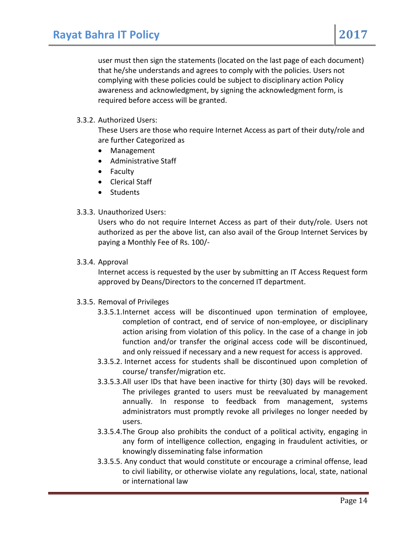user must then sign the statements (located on the last page of each document) that he/she understands and agrees to comply with the policies. Users not complying with these policies could be subject to disciplinary action Policy awareness and acknowledgment, by signing the acknowledgment form, is required before access will be granted.

### 3.3.2. Authorized Users:

These Users are those who require Internet Access as part of their duty/role and are further Categorized as

- Management
- Administrative Staff
- Faculty
- Clerical Staff
- Students

### 3.3.3. Unauthorized Users:

Users who do not require Internet Access as part of their duty/role. Users not authorized as per the above list, can also avail of the Group Internet Services by paying a Monthly Fee of Rs. 100/-

#### 3.3.4. Approval

Internet access is requested by the user by submitting an IT Access Request form approved by Deans/Directors to the concerned IT department.

### 3.3.5. Removal of Privileges

- 3.3.5.1.Internet access will be discontinued upon termination of employee, completion of contract, end of service of non-employee, or disciplinary action arising from violation of this policy. In the case of a change in job function and/or transfer the original access code will be discontinued, and only reissued if necessary and a new request for access is approved.
- 3.3.5.2. Internet access for students shall be discontinued upon completion of course/ transfer/migration etc.
- 3.3.5.3.All user IDs that have been inactive for thirty (30) days will be revoked. The privileges granted to users must be reevaluated by management annually. In response to feedback from management, systems administrators must promptly revoke all privileges no longer needed by users.
- 3.3.5.4.The Group also prohibits the conduct of a political activity, engaging in any form of intelligence collection, engaging in fraudulent activities, or knowingly disseminating false information
- 3.3.5.5. Any conduct that would constitute or encourage a criminal offense, lead to civil liability, or otherwise violate any regulations, local, state, national or international law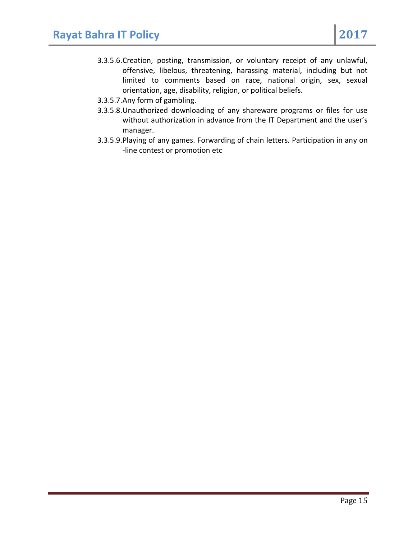- 3.3.5.6.Creation, posting, transmission, or voluntary receipt of any unlawful, offensive, libelous, threatening, harassing material, including but not limited to comments based on race, national origin, sex, sexual orientation, age, disability, religion, or political beliefs.
- 3.3.5.7.Any form of gambling.
- 3.3.5.8.Unauthorized downloading of any shareware programs or files for use without authorization in advance from the IT Department and the user's manager.
- 3.3.5.9.Playing of any games. Forwarding of chain letters. Participation in any on -line contest or promotion etc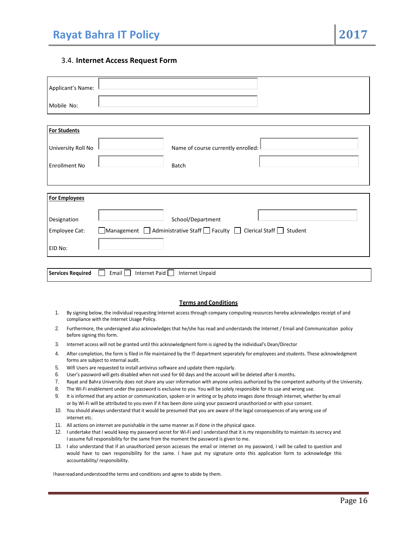#### 3.4. **Internet Access Request Form**

| Applicant's Name:        |                                                                                                   |
|--------------------------|---------------------------------------------------------------------------------------------------|
| Mobile No:               |                                                                                                   |
|                          |                                                                                                   |
| <b>For Students</b>      |                                                                                                   |
| University Roll No       | Name of course currently enrolled:                                                                |
| <b>Enrollment No</b>     | Batch                                                                                             |
|                          |                                                                                                   |
| <b>For Employees</b>     |                                                                                                   |
| Designation              | School/Department                                                                                 |
| Employee Cat:            | $\Box$ Management $\Box$ Administrative Staff $\Box$ Faculty $\Box$ Clerical Staff $\Box$ Student |
| EID No:                  |                                                                                                   |
| <b>Services Required</b> | Internet Paid<br>Email  <br><b>Internet Unpaid</b>                                                |

#### **Terms and Conditions**

- 1. By signing below, the individual requesting Internet access through company computing resources hereby acknowledges receipt of and compliance with the Internet Usage Policy.
- 2. Furthermore, the undersigned also acknowledges that he/she has read and understands the Internet / Email and Communication policy before signing this form.
- 3. Internet access will not be granted until this acknowledgment form is signed by the individual's Dean/Director
- 4. After completion, the form is filed in file maintained by the IT department seperately for employees and students. These acknowledgment forms are subject to internal audit.
- 5. Wifi Users are requested to install antivirus software and update them regularly.
- 6. User's password will gets disabled when not used for 60 days and the account will be deleted after 6 months.
- 7. Rayat and Bahra University does not share any user information with anyone unless authorized by the competent authority of the University.
- 8. The Wi-Fi enablement under the password is exclusive to you. You will be solely responsible for its use and wrong use.
- 9. It is informed that any action or communication, spoken or in writing or by photo images done through internet, whether by email or by Wi‐Fi will be attributed to you even if it has been done using your password unauthorized or with your consent.
- 10. You should always understand that it would be presumed that you are aware of the legal consequences of any wrong use of internet etc.
- 11. All actions on internet are punishable in the same manner as if done in the physical space.
- 12. I undertake that I would keep my password secret for Wi‐Fi and I understand that it is my responsibility to maintain its secrecy and I assume full responsibility for the same from the moment the password is given to me.
- 13. I also understand that if an unauthorized person accesses the email or internet on my password, I will be called to question and would have to own responsibility for the same. I have put my signature onto this application form to acknowledge this accountability/ responsibility.

Ihavereadandunderstoodthe terms and conditions and agree to abide by them.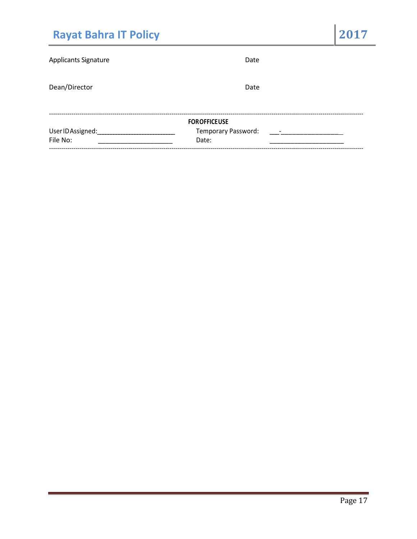| <b>Rayat Bahra IT Policy</b> |                     | 2017 |
|------------------------------|---------------------|------|
| <b>Applicants Signature</b>  | Date                |      |
| Dean/Director                | Date                |      |
|                              | <b>FOROFFICEUSE</b> |      |
| UserIDAssigned:              | Temporary Password: |      |
| File No:                     | Date:               |      |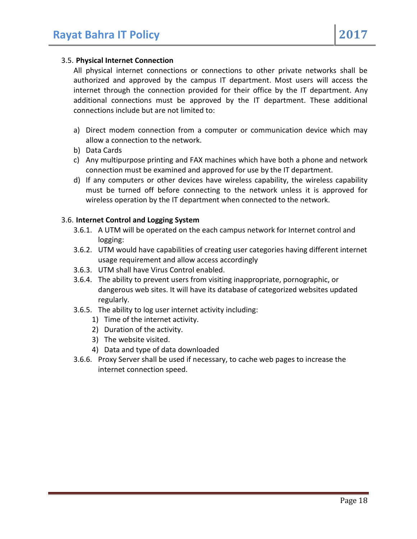#### 3.5. **Physical Internet Connection**

All physical internet connections or connections to other private networks shall be authorized and approved by the campus IT department. Most users will access the internet through the connection provided for their office by the IT department. Any additional connections must be approved by the IT department. These additional connections include but are not limited to:

- a) Direct modem connection from a computer or communication device which may allow a connection to the network.
- b) Data Cards
- c) Any multipurpose printing and FAX machines which have both a phone and network connection must be examined and approved for use by the IT department.
- d) If any computers or other devices have wireless capability, the wireless capability must be turned off before connecting to the network unless it is approved for wireless operation by the IT department when connected to the network.

#### 3.6. **Internet Control and Logging System**

- 3.6.1. A UTM will be operated on the each campus network for Internet control and logging:
- 3.6.2. UTM would have capabilities of creating user categories having different internet usage requirement and allow access accordingly
- 3.6.3. UTM shall have Virus Control enabled.
- 3.6.4. The ability to prevent users from visiting inappropriate, pornographic, or dangerous web sites. It will have its database of categorized websites updated regularly.
- 3.6.5. The ability to log user internet activity including:
	- 1) Time of the internet activity.
	- 2) Duration of the activity.
	- 3) The website visited.
	- 4) Data and type of data downloaded
- 3.6.6. Proxy Server shall be used if necessary, to cache web pages to increase the internet connection speed.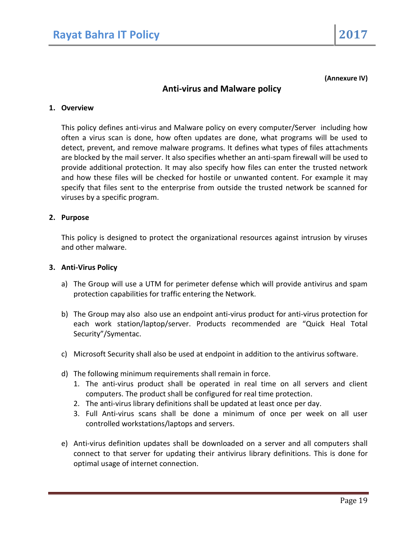**(Annexure IV)**

# **Anti-virus and Malware policy**

#### **1. Overview**

This policy defines anti-virus and Malware policy on every computer/Server including how often a virus scan is done, how often updates are done, what programs will be used to detect, prevent, and remove malware programs. It defines what types of files attachments are blocked by the mail server. It also specifies whether an anti-spam firewall will be used to provide additional protection. It may also specify how files can enter the trusted network and how these files will be checked for hostile or unwanted content. For example it may specify that files sent to the enterprise from outside the trusted network be scanned for viruses by a specific program.

#### **2. Purpose**

This policy is designed to protect the organizational resources against intrusion by viruses and other malware.

#### **3. Anti-Virus Policy**

- a) The Group will use a UTM for perimeter defense which will provide antivirus and spam protection capabilities for traffic entering the Network.
- b) The Group may also also use an endpoint anti-virus product for anti-virus protection for each work station/laptop/server. Products recommended are "Quick Heal Total Security"/Symentac.
- c) Microsoft Security shall also be used at endpoint in addition to the antivirus software.
- d) The following minimum requirements shall remain in force.
	- 1. The anti-virus product shall be operated in real time on all servers and client computers. The product shall be configured for real time protection.
	- 2. The anti-virus library definitions shall be updated at least once per day.
	- 3. Full Anti-virus scans shall be done a minimum of once per week on all user controlled workstations/laptops and servers.
- e) Anti-virus definition updates shall be downloaded on a server and all computers shall connect to that server for updating their antivirus library definitions. This is done for optimal usage of internet connection.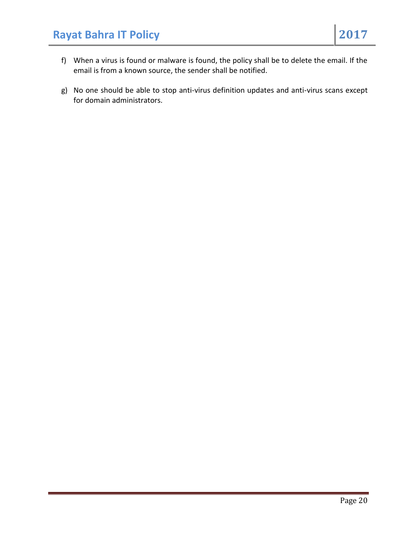- f) When a virus is found or malware is found, the policy shall be to delete the email. If the email is from a known source, the sender shall be notified.
- g) No one should be able to stop anti-virus definition updates and anti-virus scans except for domain administrators.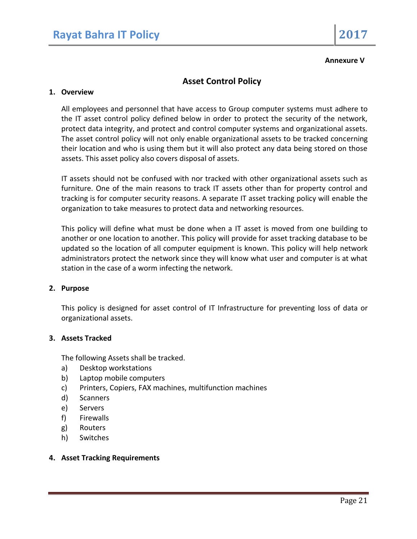#### **Annexure V**

# **Asset Control Policy**

#### **1. Overview**

All employees and personnel that have access to Group computer systems must adhere to the IT asset control policy defined below in order to protect the security of the network, protect data integrity, and protect and control computer systems and organizational assets. The asset control policy will not only enable organizational assets to be tracked concerning their location and who is using them but it will also protect any data being stored on those assets. This asset policy also covers disposal of assets.

IT assets should not be confused with nor tracked with other organizational assets such as furniture. One of the main reasons to track IT assets other than for property control and tracking is for computer security reasons. A separate IT asset tracking policy will enable the organization to take measures to protect data and networking resources.

This policy will define what must be done when a IT asset is moved from one building to another or one location to another. This policy will provide for asset tracking database to be updated so the location of all computer equipment is known. This policy will help network administrators protect the network since they will know what user and computer is at what station in the case of a worm infecting the network.

#### **2. Purpose**

This policy is designed for asset control of IT Infrastructure for preventing loss of data or organizational assets.

#### **3. Assets Tracked**

The following Assets shall be tracked.

- a) Desktop workstations
- b) Laptop mobile computers
- c) Printers, Copiers, FAX machines, multifunction machines
- d) Scanners
- e) Servers
- f) Firewalls
- g) Routers
- h) Switches

#### **4. Asset Tracking Requirements**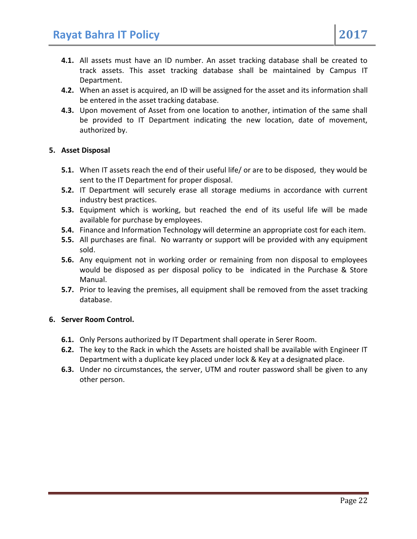- **4.2.** When an asset is acquired, an ID will be assigned for the asset and its information shall be entered in the asset tracking database.
- **4.3.** Upon movement of Asset from one location to another, intimation of the same shall be provided to IT Department indicating the new location, date of movement, authorized by.

# **5. Asset Disposal**

- **5.1.** When IT assets reach the end of their useful life/ or are to be disposed, they would be sent to the IT Department for proper disposal.
- **5.2.** IT Department will securely erase all storage mediums in accordance with current industry best practices.
- **5.3.** Equipment which is working, but reached the end of its useful life will be made available for purchase by employees.
- **5.4.** Finance and Information Technology will determine an appropriate cost for each item.
- **5.5.** All purchases are final. No warranty or support will be provided with any equipment sold.
- **5.6.** Any equipment not in working order or remaining from non disposal to employees would be disposed as per disposal policy to be indicated in the Purchase & Store Manual.
- **5.7.** Prior to leaving the premises, all equipment shall be removed from the asset tracking database.

# **6. Server Room Control.**

- **6.1.** Only Persons authorized by IT Department shall operate in Serer Room.
- **6.2.** The key to the Rack in which the Assets are hoisted shall be available with Engineer IT Department with a duplicate key placed under lock & Key at a designated place.
- **6.3.** Under no circumstances, the server, UTM and router password shall be given to any other person.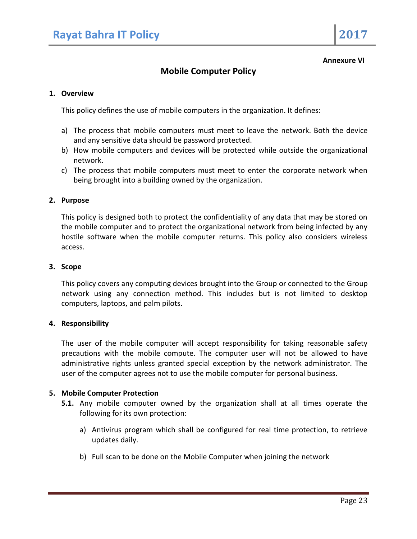#### **Annexure VI**

# **Mobile Computer Policy**

#### **1. Overview**

This policy defines the use of mobile computers in the organization. It defines:

- a) The process that mobile computers must meet to leave the network. Both the device and any sensitive data should be password protected.
- b) How mobile computers and devices will be protected while outside the organizational network.
- c) The process that mobile computers must meet to enter the corporate network when being brought into a building owned by the organization.

#### **2. Purpose**

This policy is designed both to protect the confidentiality of any data that may be stored on the mobile computer and to protect the organizational network from being infected by any hostile software when the mobile computer returns. This policy also considers wireless access.

#### **3. Scope**

This policy covers any computing devices brought into the Group or connected to the Group network using any connection method. This includes but is not limited to desktop computers, laptops, and palm pilots.

#### **4. Responsibility**

The user of the mobile computer will accept responsibility for taking reasonable safety precautions with the mobile compute. The computer user will not be allowed to have administrative rights unless granted special exception by the network administrator. The user of the computer agrees not to use the mobile computer for personal business.

#### **5. Mobile Computer Protection**

- **5.1.** Any mobile computer owned by the organization shall at all times operate the following for its own protection:
	- a) Antivirus program which shall be configured for real time protection, to retrieve updates daily.
	- b) Full scan to be done on the Mobile Computer when joining the network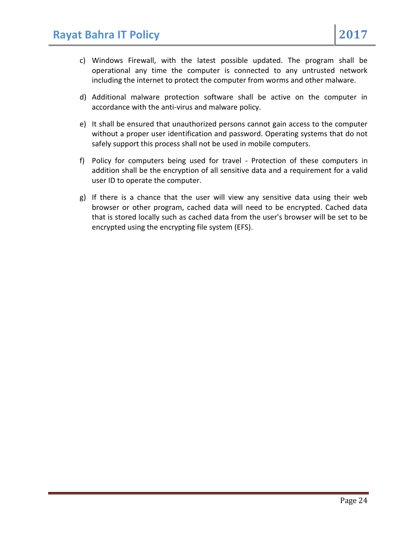- c) Windows Firewall, with the latest possible updated. The program shall be operational any time the computer is connected to any untrusted network including the internet to protect the computer from worms and other malware.
- d) Additional malware protection software shall be active on the computer in accordance with the anti-virus and malware policy.
- e) It shall be ensured that unauthorized persons cannot gain access to the computer without a proper user identification and password. Operating systems that do not safely support this process shall not be used in mobile computers.
- f) Policy for computers being used for travel Protection of these computers in addition shall be the encryption of all sensitive data and a requirement for a valid user ID to operate the computer.
- g) If there is a chance that the user will view any sensitive data using their web browser or other program, cached data will need to be encrypted. Cached data that is stored locally such as cached data from the user's browser will be set to be encrypted using the encrypting file system (EFS).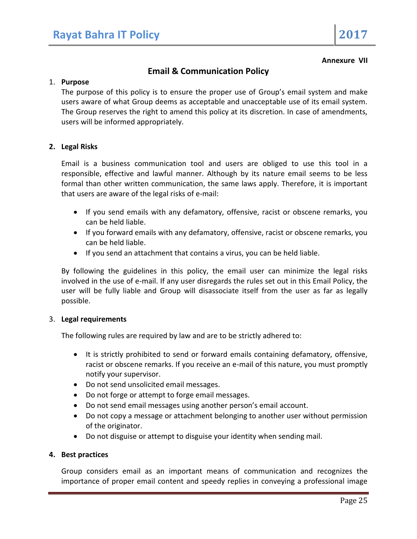#### **Annexure VII**

# **Email & Communication Policy**

#### 1. **Purpose**

The purpose of this policy is to ensure the proper use of Group's email system and make users aware of what Group deems as acceptable and unacceptable use of its email system. The Group reserves the right to amend this policy at its discretion. In case of amendments, users will be informed appropriately.

#### **2. Legal Risks**

Email is a business communication tool and users are obliged to use this tool in a responsible, effective and lawful manner. Although by its nature email seems to be less formal than other written communication, the same laws apply. Therefore, it is important that users are aware of the legal risks of e-mail:

- If you send emails with any defamatory, offensive, racist or obscene remarks, you can be held liable.
- If you forward emails with any defamatory, offensive, racist or obscene remarks, you can be held liable.
- If you send an attachment that contains a virus, you can be held liable.

By following the guidelines in this policy, the email user can minimize the legal risks involved in the use of e-mail. If any user disregards the rules set out in this Email Policy, the user will be fully liable and Group will disassociate itself from the user as far as legally possible.

#### 3. **Legal requirements**

The following rules are required by law and are to be strictly adhered to:

- It is strictly prohibited to send or forward emails containing defamatory, offensive, racist or obscene remarks. If you receive an e-mail of this nature, you must promptly notify your supervisor.
- Do not send unsolicited email messages.
- Do not forge or attempt to forge email messages.
- Do not send email messages using another person's email account.
- Do not copy a message or attachment belonging to another user without permission of the originator.
- Do not disguise or attempt to disguise your identity when sending mail.

#### **4. Best practices**

Group considers email as an important means of communication and recognizes the importance of proper email content and speedy replies in conveying a professional image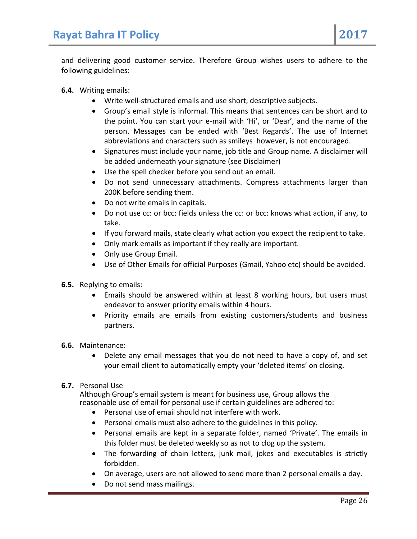and delivering good customer service. Therefore Group wishes users to adhere to the following guidelines:

- **6.4.** Writing emails:
	- Write well-structured emails and use short, descriptive subjects.
	- Group's email style is informal. This means that sentences can be short and to the point. You can start your e-mail with 'Hi', or 'Dear', and the name of the person. Messages can be ended with 'Best Regards'. The use of Internet abbreviations and characters such as smileys however, is not encouraged.
	- Signatures must include your name, job title and Group name. A disclaimer will be added underneath your signature (see Disclaimer)
	- Use the spell checker before you send out an email.
	- Do not send unnecessary attachments. Compress attachments larger than 200K before sending them.
	- Do not write emails in capitals.
	- Do not use cc: or bcc: fields unless the cc: or bcc: knows what action, if any, to take.
	- If you forward mails, state clearly what action you expect the recipient to take.
	- Only mark emails as important if they really are important.
	- Only use Group Email.
	- Use of Other Emails for official Purposes (Gmail, Yahoo etc) should be avoided.
- **6.5.** Replying to emails:
	- Emails should be answered within at least 8 working hours, but users must endeavor to answer priority emails within 4 hours.
	- Priority emails are emails from existing customers/students and business partners.
- **6.6.** Maintenance:
	- Delete any email messages that you do not need to have a copy of, and set your email client to automatically empty your 'deleted items' on closing.
- **6.7.** Personal Use

Although Group's email system is meant for business use, Group allows the reasonable use of email for personal use if certain guidelines are adhered to:

- Personal use of email should not interfere with work.
- Personal emails must also adhere to the guidelines in this policy.
- Personal emails are kept in a separate folder, named 'Private'. The emails in this folder must be deleted weekly so as not to clog up the system.
- The forwarding of chain letters, junk mail, jokes and executables is strictly forbidden.
- On average, users are not allowed to send more than 2 personal emails a day.
- Do not send mass mailings.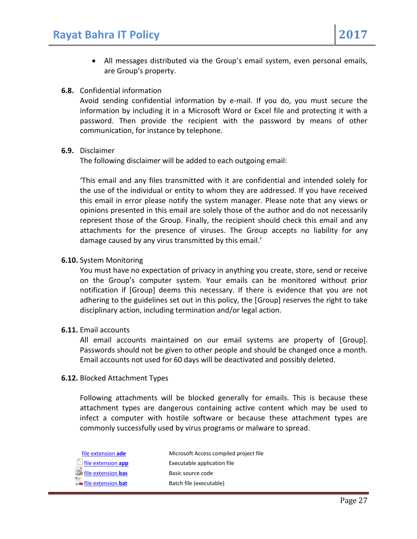All messages distributed via the Group's email system, even personal emails, are Group's property.

### **6.8.** Confidential information

Avoid sending confidential information by e-mail. If you do, you must secure the information by including it in a Microsoft Word or Excel file and protecting it with a password. Then provide the recipient with the password by means of other communication, for instance by telephone.

### **6.9.** Disclaimer

The following disclaimer will be added to each outgoing email:

'This email and any files transmitted with it are confidential and intended solely for the use of the individual or entity to whom they are addressed. If you have received this email in error please notify the system manager. Please note that any views or opinions presented in this email are solely those of the author and do not necessarily represent those of the Group. Finally, the recipient should check this email and any attachments for the presence of viruses. The Group accepts no liability for any damage caused by any virus transmitted by this email.'

### **6.10.** System Monitoring

You must have no expectation of privacy in anything you create, store, send or receive on the Group's computer system. Your emails can be monitored without prior notification if [Group] deems this necessary. If there is evidence that you are not adhering to the guidelines set out in this policy, the [Group] reserves the right to take disciplinary action, including termination and/or legal action.

### **6.11.** Email accounts

All email accounts maintained on our email systems are property of [Group]. Passwords should not be given to other people and should be changed once a month. Email accounts not used for 60 days will be deactivated and possibly deleted.

### **6.12.** Blocked Attachment Types

Following attachments will be blocked generally for emails. This is because these attachment types are dangerous containing active content which may be used to infect a computer with hostile software or because these attachment types are commonly successfully used by virus programs or malware to spread.

| file extension ade          | Microsoft Access compiled project file |
|-----------------------------|----------------------------------------|
| $\Box$ file extension app   | Executable application file            |
| <b>E</b> file extension bas | Basic source code                      |
| <b>Extension bat</b>        | Batch file (executable)                |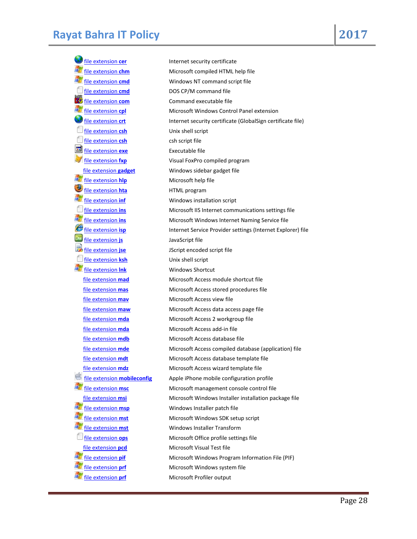[file extension](http://www.file-extensions.org/cer-file-extension-internet-security-certificate) **cer Internet security certificate** [file extension](http://www.file-extensions.org/cmd-file-extension-dos-cp-m-command-file) **cmd** DOS CP/M command file [file extension](http://www.file-extensions.org/com-file-extension) **com** Command executable file [file extension](http://www.file-extensions.org/csh-file-extension-unix-shell-script) **csh** Unix shell script [file extension](http://www.file-extensions.org/csh-file-extension-csh-script-file) **csh** csh script file [file extension](http://www.file-extensions.org/exe-file-extension) **exe** Executable file [file extension](http://www.file-extensions.org/hlp-file-extension) **hlp** Microsoft help file [file extension](http://www.file-extensions.org/hta-file-extension) **hta** HTML program a, [file extension](http://www.file-extensions.org/inf-file-extension-windows-installation-script) **inf** Windows installation script [file extension](http://www.file-extensions.org/js-file-extension) **js** JavaScript file **File extension jse** JScript encoded script file [file extension](http://www.file-extensions.org/ksh-file-extension) **ksh** Unix shell script [file extension](http://www.file-extensions.org/lnk-file-extension) **lnk** Windows Shortcut [file extension](http://www.file-extensions.org/mav-file-extension) **mav** Microsoft Access view file [file extension](http://www.file-extensions.org/mda-file-extension) **mda** Microsoft Access add-in file C A. [file extension](http://www.file-extensions.org/msp-file-extension) **msp** Windows Installer patch file [file extension](http://www.file-extensions.org/pcd-file-extension-microsoft-visual-test-file) **pcd** Microsoft Visual Test file a,

[file extension](http://www.file-extensions.org/chm-file-extension) **chm** Microsoft compiled HTML help file [file extension](http://www.file-extensions.org/cmd-file-extension) **cmd** Windows NT command script file [file extension](http://www.file-extensions.org/cpl-file-extension) **cpl** Microsoft Windows Control Panel extension [file extension](http://www.file-extensions.org/crt-file-extension) crt **Internet security certificate (GlobalSign certificate file)** [file extension](http://www.file-extensions.org/fxp-file-extension) **fxp** Visual FoxPro compiled program [file extension](http://www.file-extensions.org/gadget-file-extension) **gadget** Windows sidebar gadget file [file extension](http://www.file-extensions.org/ins-file-extension-microsoft-iis-internet-communications-settings-file) **ins** Microsoft IIS Internet communications settings file [file extension](http://www.file-extensions.org/ins-file-extension-microsoft-windows-internet-naming-service-file) **ins** Microsoft Windows Internet Naming Service file [file extension](http://www.file-extensions.org/isp-file-extension) **isp** Internet Service Provider settings (Internet Explorer) file [file extension](http://www.file-extensions.org/mad-file-extension) **mad** Microsoft Access module shortcut file [file extension](http://www.file-extensions.org/mas-file-extension) **mas** Microsoft Access stored procedures file [file extension](http://www.file-extensions.org/maw-file-extension) **maw** Microsoft Access data access page file [file extension](http://www.file-extensions.org/mda-file-extension-microsoft-access-2-workgroup-file) **mda** Microsoft Access 2 workgroup file [file extension](http://www.file-extensions.org/mdb-file-extension) **mdb** Microsoft Access database file [file extension](http://www.file-extensions.org/mde-file-extension) **mde** Microsoft Access compiled database (application) file [file extension](http://www.file-extensions.org/mdt-file-extension) **mdt** Microsoft Access database template file [file extension](http://www.file-extensions.org/mdz-file-extension) **mdz** Microsoft Access wizard template file [file extension](http://www.file-extensions.org/mobileconfig-file-extension) **mobileconfig** Apple iPhone mobile configuration profile [file extension](http://www.file-extensions.org/msc-file-extension) **msc** Microsoft management console control file [file extension](http://www.file-extensions.org/msi-file-extension) **msi** Microsoft Windows Installer installation package file [file extension](http://www.file-extensions.org/mst-file-extension-microsoft-windows-sdk-setup-script) **mst** Microsoft Windows SDK setup script [file extension](http://www.file-extensions.org/mst-file-extension) **mst** Windows Installer Transform [file extension](http://www.file-extensions.org/ops-file-extension) **ops** Microsoft Office profile settings file [file extension](http://www.file-extensions.org/pif-file-extension-microsoft-windows-program-information-file-pif) **pif** Microsoft Windows Program Information File (PIF) [file extension](http://www.file-extensions.org/prf-file-extension-microsoft-windows-system-file) **prf** Microsoft Windows system file **file extensio<u>n</u> prf** Microsoft Profiler output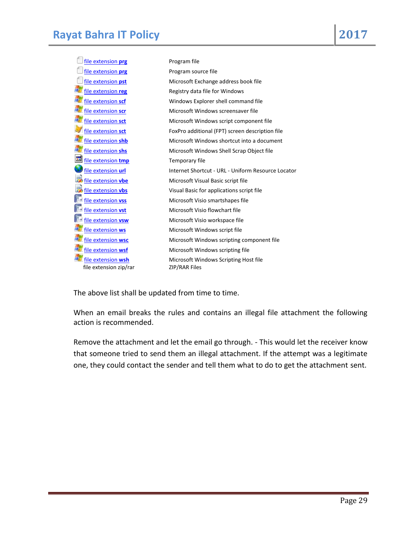| file extension prg              | Program file                                       |
|---------------------------------|----------------------------------------------------|
| file extension <b>prg</b>       | Program source file                                |
| file extension pst              | Microsoft Exchange address book file               |
| file extension reg              | Registry data file for Windows                     |
| file extension scf              | Windows Explorer shell command file                |
| file extension scr              | Microsoft Windows screensaver file                 |
| file extension sct              | Microsoft Windows script component file            |
| file extension sct              | FoxPro additional (FPT) screen description file    |
| file extension shb              | Microsoft Windows shortcut into a document         |
| file extension shs              | Microsoft Windows Shell Scrap Object file          |
| <b>RO</b><br>file extension tmp | Temporary file                                     |
| file extension url              | Internet Shortcut - URL - Uniform Resource Locator |
| file extension vbe              | Microsoft Visual Basic script file                 |
| file extension vbs              | Visual Basic for applications script file          |
| file extension vss              | Microsoft Visio smartshapes file                   |
| file extension vst              | Microsoft Visio flowchart file                     |
| file extension vsw              | Microsoft Visio workspace file                     |
| file extension ws               | Microsoft Windows script file                      |
| file extension wsc              | Microsoft Windows scripting component file         |
| file extension wsf              | Microsoft Windows scripting file                   |
| file extension wsh              | Microsoft Windows Scripting Host file              |
| file extension zip/rar          | ZIP/RAR Files                                      |

The above list shall be updated from time to time.

When an email breaks the rules and contains an illegal file attachment the following action is recommended.

Remove the attachment and let the email go through. - This would let the receiver know that someone tried to send them an illegal attachment. If the attempt was a legitimate one, they could contact the sender and tell them what to do to get the attachment sent.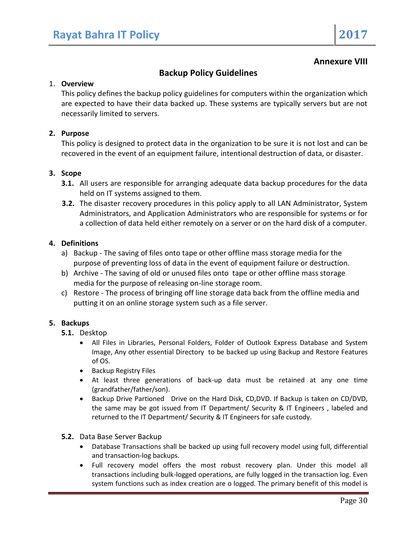# **Annexure VIII**

# **Backup Policy Guidelines**

#### 1. **Overview**

This policy defines the backup policy guidelines for computers within the organization which are expected to have their data backed up. These systems are typically servers but are not necessarily limited to servers.

### **2. Purpose**

This policy is designed to protect data in the organization to be sure it is not lost and can be recovered in the event of an equipment failure, intentional destruction of data, or disaster.

#### **3. Scope**

- **3.1.** All users are responsible for arranging adequate data backup procedures for the data held on IT systems assigned to them.
- **3.2.** The disaster recovery procedures in this policy apply to all LAN Administrator, System Administrators, and Application Administrators who are responsible for systems or for a collection of data held either remotely on a server or on the hard disk of a computer.

#### **4. Definitions**

- a) Backup The saving of files onto tape or other offline mass storage media for the purpose of preventing loss of data in the event of equipment failure or destruction.
- b) Archive The saving of old or unused files onto tape or other offline mass storage media for the purpose of releasing on-line storage room.
- c) Restore The process of bringing off line storage data back from the offline media and putting it on an online storage system such as a file server.

### **5. Backups**

- **5.1.** Desktop
	- All Files in Libraries, Personal Folders, Folder of Outlook Express Database and System Image, Any other essential Directory to be backed up using Backup and Restore Features of OS.
	- **•** Backup Registry Files
	- At least three generations of back-up data must be retained at any one time (grandfather/father/son).
	- Backup Drive Partioned Drive on the Hard Disk, CD,DVD. If Backup is taken on CD/DVD, the same may be got issued from IT Department/ Security & IT Engineers , labeled and returned to the IT Department/ Security & IT Engineers for safe custody.
- **5.2.** Data Base Server Backup
	- Database Transactions shall be backed up using full recovery model using full, differential and transaction-log backups.
	- Full recovery model offers the most robust recovery plan. Under this model all transactions including bulk-logged operations, are fully logged in the transaction log. Even system functions such as index creation are o logged. The primary benefit of this model is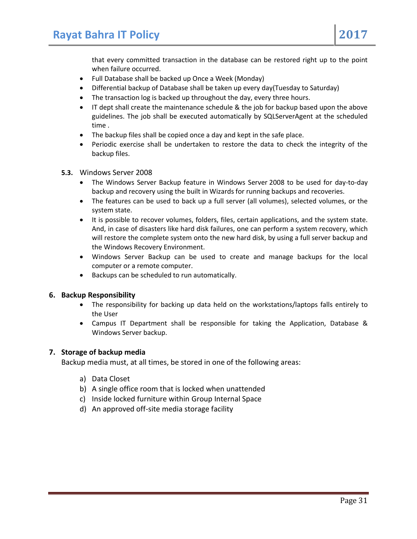that every committed transaction in the database can be restored right up to the point when failure occurred.

- Full Database shall be backed up Once a Week (Monday)
- Differential backup of Database shall be taken up every day(Tuesday to Saturday)
- The transaction log is backed up throughout the day, every three hours.
- IT dept shall create the maintenance schedule & the job for backup based upon the above guidelines. The job shall be executed automatically by SQLServerAgent at the scheduled time .
- The backup files shall be copied once a day and kept in the safe place.
- Periodic exercise shall be undertaken to restore the data to check the integrity of the backup files.
- **5.3.** Windows Server 2008
	- The Windows Server Backup feature in Windows Server 2008 to be used for day-to-day backup and recovery using the built in Wizards for running backups and recoveries.
	- The features can be used to back up a full server (all volumes), selected volumes, or the system state.
	- It is possible to recover volumes, folders, files, certain applications, and the system state. And, in case of disasters like hard disk failures, one can perform a system recovery, which will restore the complete system onto the new hard disk, by using a full server backup and the Windows Recovery Environment.
	- Windows Server Backup can be used to create and manage backups for the local computer or a remote computer.
	- Backups can be scheduled to run automatically.

#### **6. Backup Responsibility**

- The responsibility for backing up data held on the workstations/laptops falls entirely to the User
- Campus IT Department shall be responsible for taking the Application, Database & Windows Server backup.

### **7. Storage of backup media**

Backup media must, at all times, be stored in one of the following areas:

- a) Data Closet
- b) A single office room that is locked when unattended
- c) Inside locked furniture within Group Internal Space
- d) An approved off-site media storage facility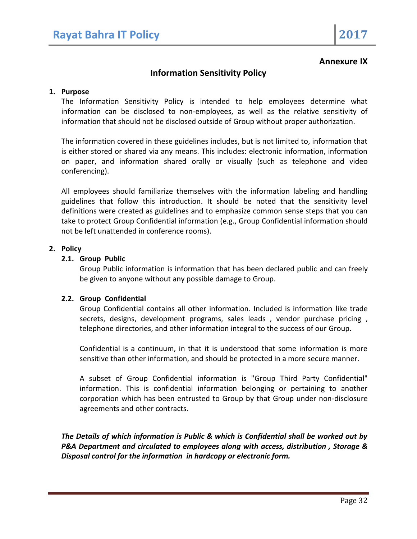### **Annexure IX**

# **Information Sensitivity Policy**

#### **1. Purpose**

The Information Sensitivity Policy is intended to help employees determine what information can be disclosed to non-employees, as well as the relative sensitivity of information that should not be disclosed outside of Group without proper authorization.

The information covered in these guidelines includes, but is not limited to, information that is either stored or shared via any means. This includes: electronic information, information on paper, and information shared orally or visually (such as telephone and video conferencing).

All employees should familiarize themselves with the information labeling and handling guidelines that follow this introduction. It should be noted that the sensitivity level definitions were created as guidelines and to emphasize common sense steps that you can take to protect Group Confidential information (e.g., Group Confidential information should not be left unattended in conference rooms).

### **2. Policy**

### **2.1. Group Public**

Group Public information is information that has been declared public and can freely be given to anyone without any possible damage to Group.

### **2.2. Group Confidential**

Group Confidential contains all other information. Included is information like trade secrets, designs, development programs, sales leads , vendor purchase pricing , telephone directories, and other information integral to the success of our Group.

Confidential is a continuum, in that it is understood that some information is more sensitive than other information, and should be protected in a more secure manner.

A subset of Group Confidential information is "Group Third Party Confidential" information. This is confidential information belonging or pertaining to another corporation which has been entrusted to Group by that Group under non-disclosure agreements and other contracts.

*The Details of which information is Public & which is Confidential shall be worked out by P&A Department and circulated to employees along with access, distribution , Storage & Disposal control for the information in hardcopy or electronic form.*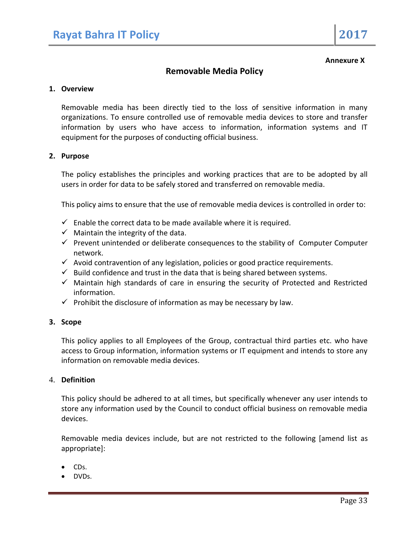#### **Annexure X**

## **Removable Media Policy**

#### **1. Overview**

Removable media has been directly tied to the loss of sensitive information in many organizations. To ensure controlled use of removable media devices to store and transfer information by users who have access to information, information systems and IT equipment for the purposes of conducting official business.

#### **2. Purpose**

The policy establishes the principles and working practices that are to be adopted by all users in order for data to be safely stored and transferred on removable media.

This policy aims to ensure that the use of removable media devices is controlled in order to:

- $\checkmark$  Enable the correct data to be made available where it is required.
- $\checkmark$  Maintain the integrity of the data.
- $\checkmark$  Prevent unintended or deliberate consequences to the stability of Computer Computer network.
- $\checkmark$  Avoid contravention of any legislation, policies or good practice requirements.
- $\checkmark$  Build confidence and trust in the data that is being shared between systems.
- $\checkmark$  Maintain high standards of care in ensuring the security of Protected and Restricted information.
- $\checkmark$  Prohibit the disclosure of information as may be necessary by law.

#### **3. Scope**

This policy applies to all Employees of the Group, contractual third parties etc. who have access to Group information, information systems or IT equipment and intends to store any information on removable media devices.

#### 4. **Definition**

This policy should be adhered to at all times, but specifically whenever any user intends to store any information used by the Council to conduct official business on removable media devices.

Removable media devices include, but are not restricted to the following [amend list as appropriate]:

- $\bullet$  CDs.
- DVDs.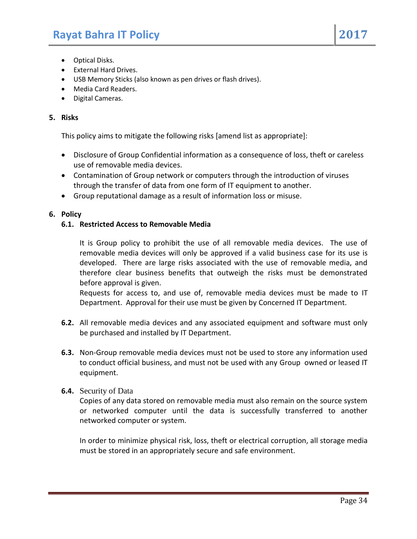- Optical Disks.
- External Hard Drives.
- USB Memory Sticks (also known as pen drives or flash drives).
- Media Card Readers.
- Digital Cameras.

#### **5. Risks**

This policy aims to mitigate the following risks [amend list as appropriate]:

- Disclosure of Group Confidential information as a consequence of loss, theft or careless use of removable media devices.
- Contamination of Group network or computers through the introduction of viruses through the transfer of data from one form of IT equipment to another.
- Group reputational damage as a result of information loss or misuse.

#### **6. Policy**

#### **6.1. Restricted Access to Removable Media**

It is Group policy to prohibit the use of all removable media devices. The use of removable media devices will only be approved if a valid business case for its use is developed. There are large risks associated with the use of removable media, and therefore clear business benefits that outweigh the risks must be demonstrated before approval is given.

Requests for access to, and use of, removable media devices must be made to IT Department. Approval for their use must be given by Concerned IT Department.

- **6.2.** All removable media devices and any associated equipment and software must only be purchased and installed by IT Department.
- **6.3.** Non-Group removable media devices must not be used to store any information used to conduct official business, and must not be used with any Group owned or leased IT equipment.

#### **6.4.** Security of Data

Copies of any data stored on removable media must also remain on the source system or networked computer until the data is successfully transferred to another networked computer or system.

In order to minimize physical risk, loss, theft or electrical corruption, all storage media must be stored in an appropriately secure and safe environment.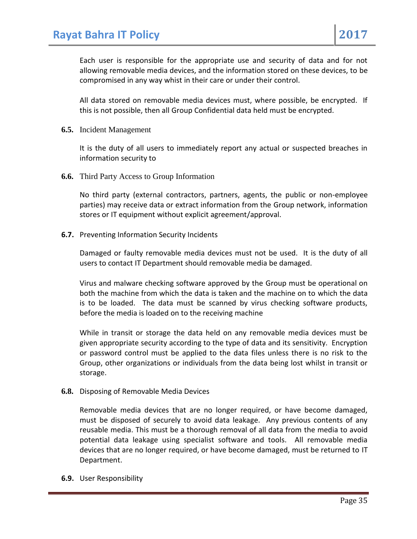Each user is responsible for the appropriate use and security of data and for not allowing removable media devices, and the information stored on these devices, to be compromised in any way whist in their care or under their control.

All data stored on removable media devices must, where possible, be encrypted. If this is not possible, then all Group Confidential data held must be encrypted.

**6.5.** Incident Management

It is the duty of all users to immediately report any actual or suspected breaches in information security to

**6.6.** Third Party Access to Group Information

No third party (external contractors, partners, agents, the public or non-employee parties) may receive data or extract information from the Group network, information stores or IT equipment without explicit agreement/approval.

**6.7.** Preventing Information Security Incidents

Damaged or faulty removable media devices must not be used. It is the duty of all users to contact IT Department should removable media be damaged.

Virus and malware checking software approved by the Group must be operational on both the machine from which the data is taken and the machine on to which the data is to be loaded. The data must be scanned by virus checking software products, before the media is loaded on to the receiving machine

While in transit or storage the data held on any removable media devices must be given appropriate security according to the type of data and its sensitivity. Encryption or password control must be applied to the data files unless there is no risk to the Group, other organizations or individuals from the data being lost whilst in transit or storage.

**6.8.** Disposing of Removable Media Devices

Removable media devices that are no longer required, or have become damaged, must be disposed of securely to avoid data leakage. Any previous contents of any reusable media. This must be a thorough removal of all data from the media to avoid potential data leakage using specialist software and tools. All removable media devices that are no longer required, or have become damaged, must be returned to IT Department.

**6.9.** User Responsibility